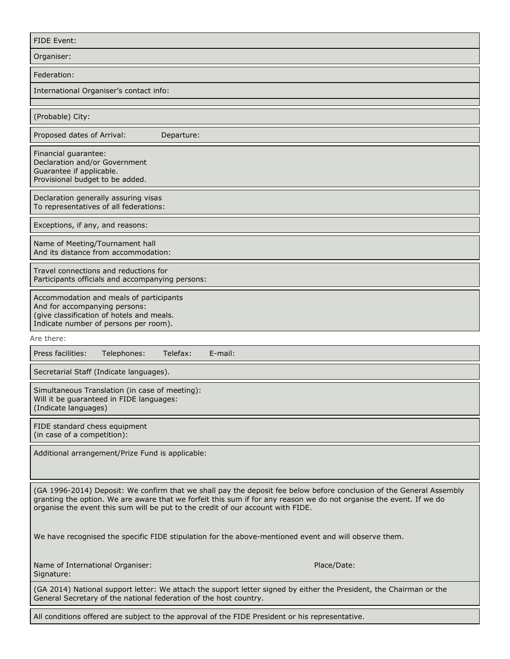| FIDE Event:                                                                                                                                                                                                                                                                                                                    |
|--------------------------------------------------------------------------------------------------------------------------------------------------------------------------------------------------------------------------------------------------------------------------------------------------------------------------------|
| Organiser:                                                                                                                                                                                                                                                                                                                     |
| Federation:                                                                                                                                                                                                                                                                                                                    |
| International Organiser's contact info:                                                                                                                                                                                                                                                                                        |
|                                                                                                                                                                                                                                                                                                                                |
| (Probable) City:                                                                                                                                                                                                                                                                                                               |
| Proposed dates of Arrival:<br>Departure:                                                                                                                                                                                                                                                                                       |
| Financial guarantee:<br>Declaration and/or Government<br>Guarantee if applicable.<br>Provisional budget to be added.                                                                                                                                                                                                           |
| Declaration generally assuring visas<br>To representatives of all federations:                                                                                                                                                                                                                                                 |
| Exceptions, if any, and reasons:                                                                                                                                                                                                                                                                                               |
| Name of Meeting/Tournament hall<br>And its distance from accommodation:                                                                                                                                                                                                                                                        |
| Travel connections and reductions for<br>Participants officials and accompanying persons:                                                                                                                                                                                                                                      |
| Accommodation and meals of participants<br>And for accompanying persons:<br>(give classification of hotels and meals.<br>Indicate number of persons per room).                                                                                                                                                                 |
| Are there:                                                                                                                                                                                                                                                                                                                     |
| Press facilities:<br>Telephones:<br>Telefax:<br>E-mail:                                                                                                                                                                                                                                                                        |
| Secretarial Staff (Indicate languages).                                                                                                                                                                                                                                                                                        |
| Simultaneous Translation (in case of meeting):<br>Will it be guaranteed in FIDE languages:<br>(Indicate languages)                                                                                                                                                                                                             |
| FIDE standard chess equipment<br>(in case of a competition):                                                                                                                                                                                                                                                                   |
| Additional arrangement/Prize Fund is applicable:                                                                                                                                                                                                                                                                               |
| (GA 1996-2014) Deposit: We confirm that we shall pay the deposit fee below before conclusion of the General Assembly<br>granting the option. We are aware that we forfeit this sum if for any reason we do not organise the event. If we do<br>organise the event this sum will be put to the credit of our account with FIDE. |
| We have recognised the specific FIDE stipulation for the above-mentioned event and will observe them.                                                                                                                                                                                                                          |
| Place/Date:<br>Name of International Organiser:<br>Signature:                                                                                                                                                                                                                                                                  |
| (GA 2014) National support letter: We attach the support letter signed by either the President, the Chairman or the<br>General Secretary of the national federation of the host country.                                                                                                                                       |
| All conditions offered are subject to the approval of the FIDE President or his representative.                                                                                                                                                                                                                                |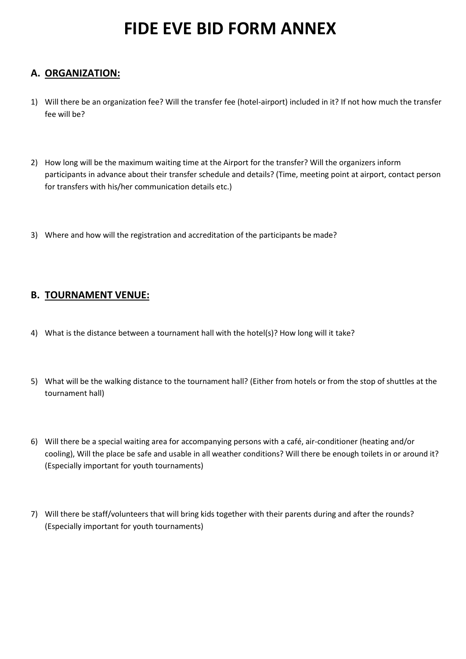# **FIDE EVE BID FORM ANNEX**

### **A. ORGANIZATION:**

- 1) Will there be an organization fee? Will the transfer fee (hotel-airport) included in it? If not how much the transfer fee will be?
- 2) How long will be the maximum waiting time at the Airport for the transfer? Will the organizers inform participants in advance about their transfer schedule and details? (Time, meeting point at airport, contact person for transfers with his/her communication details etc.)
- 3) Where and how will the registration and accreditation of the participants be made?

#### **B. TOURNAMENT VENUE:**

- 4) What is the distance between a tournament hall with the hotel(s)? How long will it take?
- 5) What will be the walking distance to the tournament hall? (Either from hotels or from the stop of shuttles at the tournament hall)
- 6) Will there be a special waiting area for accompanying persons with a café, air-conditioner (heating and/or cooling), Will the place be safe and usable in all weather conditions? Will there be enough toilets in or around it? (Especially important for youth tournaments)
- 7) Will there be staff/volunteers that will bring kids together with their parents during and after the rounds? (Especially important for youth tournaments)